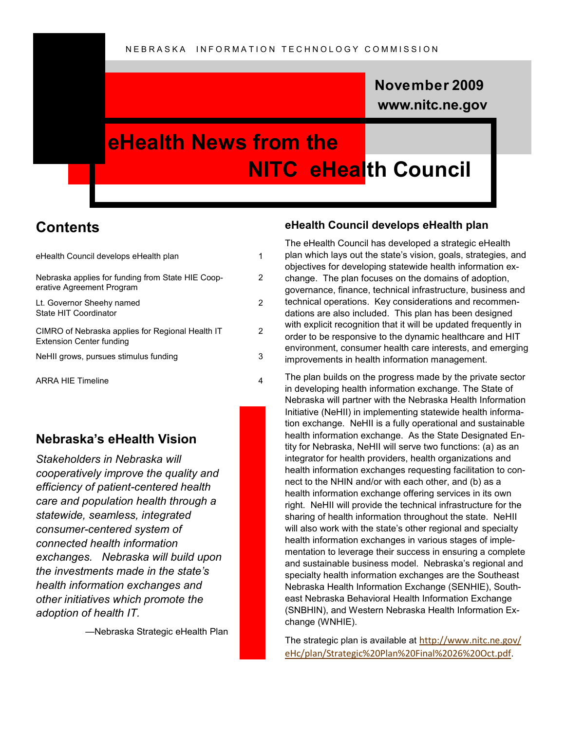## **www.nitc.ne.gov November 2009**

# **eHealth News from the NITC eHealth Council**

## **Contents**

| eHealth Council develops eHealth plan                                               |   |
|-------------------------------------------------------------------------------------|---|
| Nebraska applies for funding from State HIE Coop-<br>erative Agreement Program      | 2 |
| Lt. Governor Sheehy named<br>State HIT Coordinator                                  | 2 |
| CIMRO of Nebraska applies for Regional Health IT<br><b>Extension Center funding</b> | 2 |
| NeHII grows, pursues stimulus funding                                               | 3 |
| <b>ARRA HIE Timeline</b>                                                            |   |

### **Nebraska's eHealth Vision**

*Stakeholders in Nebraska will cooperatively improve the quality and efficiency of patient-centered health care and population health through a statewide, seamless, integrated consumer-centered system of connected health information exchanges. Nebraska will build upon the investments made in the state's health information exchanges and other initiatives which promote the adoption of health IT.* 

—Nebraska Strategic eHealth Plan

#### **eHealth Council develops eHealth plan**

The eHealth Council has developed a strategic eHealth plan which lays out the state's vision, goals, strategies, and objectives for developing statewide health information exchange. The plan focuses on the domains of adoption, governance, finance, technical infrastructure, business and technical operations. Key considerations and recommendations are also included. This plan has been designed with explicit recognition that it will be updated frequently in order to be responsive to the dynamic healthcare and HIT environment, consumer health care interests, and emerging improvements in health information management.

The plan builds on the progress made by the private sector in developing health information exchange. The State of Nebraska will partner with the Nebraska Health Information Initiative (NeHII) in implementing statewide health information exchange. NeHII is a fully operational and sustainable health information exchange. As the State Designated Entity for Nebraska, NeHII will serve two functions: (a) as an integrator for health providers, health organizations and health information exchanges requesting facilitation to connect to the NHIN and/or with each other, and (b) as a health information exchange offering services in its own right. NeHII will provide the technical infrastructure for the sharing of health information throughout the state. NeHII will also work with the state's other regional and specialty health information exchanges in various stages of implementation to leverage their success in ensuring a complete and sustainable business model. Nebraska's regional and specialty health information exchanges are the Southeast Nebraska Health Information Exchange (SENHIE), Southeast Nebraska Behavioral Health Information Exchange (SNBHIN), and Western Nebraska Health Information Exchange (WNHIE).

The strategic plan is available at [http://www.nitc.ne.gov/](http://www.nitc.ne.gov/eHc/plan/Strategic%20Plan%20Final%2026%20Oct.pdf) [eHc/plan/Strategic%20Plan%20Final%2026%20Oct.pdf](http://www.nitc.ne.gov/eHc/plan/Strategic%20Plan%20Final%2026%20Oct.pdf).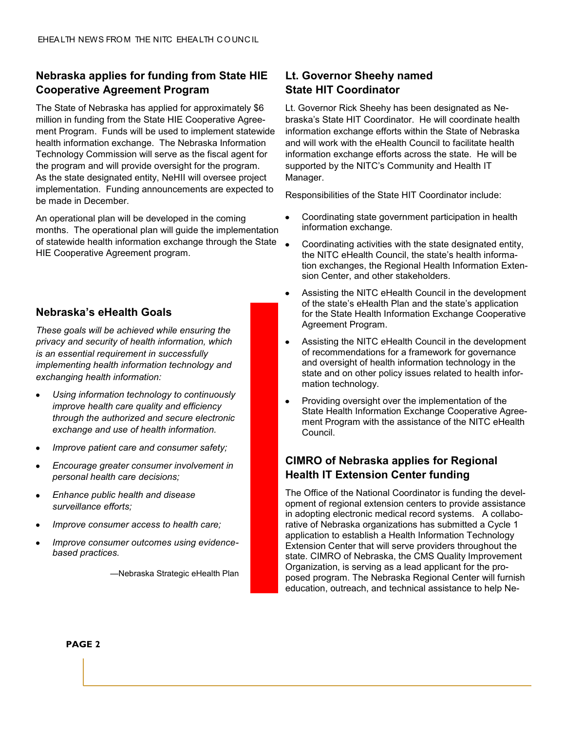#### **Nebraska applies for funding from State HIE Cooperative Agreement Program**

The State of Nebraska has applied for approximately \$6 million in funding from the State HIE Cooperative Agreement Program. Funds will be used to implement statewide health information exchange. The Nebraska Information Technology Commission will serve as the fiscal agent for the program and will provide oversight for the program. As the state designated entity, NeHII will oversee project implementation. Funding announcements are expected to be made in December.

An operational plan will be developed in the coming months. The operational plan will guide the implementation of statewide health information exchange through the State HIE Cooperative Agreement program.

#### **Nebraska's eHealth Goals**

*These goals will be achieved while ensuring the privacy and security of health information, which is an essential requirement in successfully implementing health information technology and exchanging health information:*

- *Using information technology to continuously improve health care quality and efficiency through the authorized and secure electronic exchange and use of health information.*
- *Improve patient care and consumer safety;*
- *Encourage greater consumer involvement in personal health care decisions;*
- *Enhance public health and disease surveillance efforts;*
- *Improve consumer access to health care;*
- *Improve consumer outcomes using evidencebased practices.*

—Nebraska Strategic eHealth Plan

#### **Lt. Governor Sheehy named State HIT Coordinator**

Lt. Governor Rick Sheehy has been designated as Nebraska's State HIT Coordinator. He will coordinate health information exchange efforts within the State of Nebraska and will work with the eHealth Council to facilitate health information exchange efforts across the state. He will be supported by the NITC's Community and Health IT Manager.

Responsibilities of the State HIT Coordinator include:

- Coordinating state government participation in health information exchange.
- Coordinating activities with the state designated entity, the NITC eHealth Council, the state's health information exchanges, the Regional Health Information Extension Center, and other stakeholders.
- Assisting the NITC eHealth Council in the development of the state's eHealth Plan and the state's application for the State Health Information Exchange Cooperative Agreement Program.
- Assisting the NITC eHealth Council in the development of recommendations for a framework for governance and oversight of health information technology in the state and on other policy issues related to health information technology.
- Providing oversight over the implementation of the State Health Information Exchange Cooperative Agreement Program with the assistance of the NITC eHealth Council.

#### **CIMRO of Nebraska applies for Regional Health IT Extension Center funding**

The Office of the National Coordinator is funding the development of regional extension centers to provide assistance in adopting electronic medical record systems. A collaborative of Nebraska organizations has submitted a Cycle 1 application to establish a Health Information Technology Extension Center that will serve providers throughout the state. CIMRO of Nebraska, the CMS Quality Improvement Organization, is serving as a lead applicant for the proposed program. The Nebraska Regional Center will furnish education, outreach, and technical assistance to help Ne-

**PAGE 2**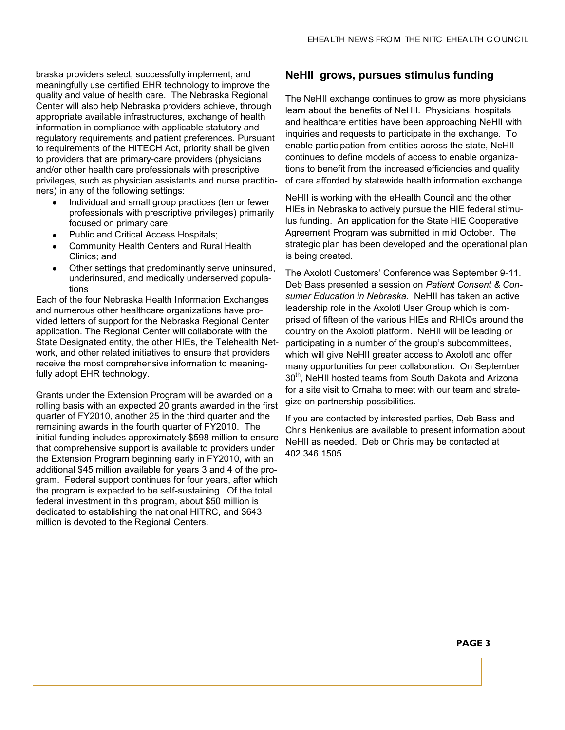braska providers select, successfully implement, and meaningfully use certified EHR technology to improve the quality and value of health care. The Nebraska Regional Center will also help Nebraska providers achieve, through appropriate available infrastructures, exchange of health information in compliance with applicable statutory and regulatory requirements and patient preferences. Pursuant to requirements of the HITECH Act, priority shall be given to providers that are primary-care providers (physicians and/or other health care professionals with prescriptive privileges, such as physician assistants and nurse practitioners) in any of the following settings:

- Individual and small group practices (ten or fewer professionals with prescriptive privileges) primarily focused on primary care;
- Public and Critical Access Hospitals;
- Community Health Centers and Rural Health Clinics; and
- Other settings that predominantly serve uninsured,  $\bullet$ underinsured, and medically underserved populations

Each of the four Nebraska Health Information Exchanges and numerous other healthcare organizations have provided letters of support for the Nebraska Regional Center application. The Regional Center will collaborate with the State Designated entity, the other HIEs, the Telehealth Network, and other related initiatives to ensure that providers receive the most comprehensive information to meaningfully adopt EHR technology.

Grants under the Extension Program will be awarded on a rolling basis with an expected 20 grants awarded in the first quarter of FY2010, another 25 in the third quarter and the remaining awards in the fourth quarter of FY2010. The initial funding includes approximately \$598 million to ensure that comprehensive support is available to providers under the Extension Program beginning early in FY2010, with an additional \$45 million available for years 3 and 4 of the program. Federal support continues for four years, after which the program is expected to be self-sustaining. Of the total federal investment in this program, about \$50 million is dedicated to establishing the national HITRC, and \$643 million is devoted to the Regional Centers.

#### **NeHII grows, pursues stimulus funding**

The NeHII exchange continues to grow as more physicians learn about the benefits of NeHII. Physicians, hospitals and healthcare entities have been approaching NeHII with inquiries and requests to participate in the exchange. To enable participation from entities across the state, NeHII continues to define models of access to enable organizations to benefit from the increased efficiencies and quality of care afforded by statewide health information exchange.

NeHII is working with the eHealth Council and the other HIEs in Nebraska to actively pursue the HIE federal stimulus funding. An application for the State HIE Cooperative Agreement Program was submitted in mid October. The strategic plan has been developed and the operational plan is being created.

The Axolotl Customers' Conference was September 9-11. Deb Bass presented a session on *Patient Consent & Consumer Education in Nebraska*. NeHII has taken an active leadership role in the Axolotl User Group which is comprised of fifteen of the various HIEs and RHIOs around the country on the Axolotl platform. NeHII will be leading or participating in a number of the group's subcommittees, which will give NeHII greater access to Axolotl and offer many opportunities for peer collaboration. On September 30<sup>th</sup>, NeHII hosted teams from South Dakota and Arizona for a site visit to Omaha to meet with our team and strategize on partnership possibilities.

If you are contacted by interested parties, Deb Bass and Chris Henkenius are available to present information about NeHII as needed. Deb or Chris may be contacted at 402.346.1505.